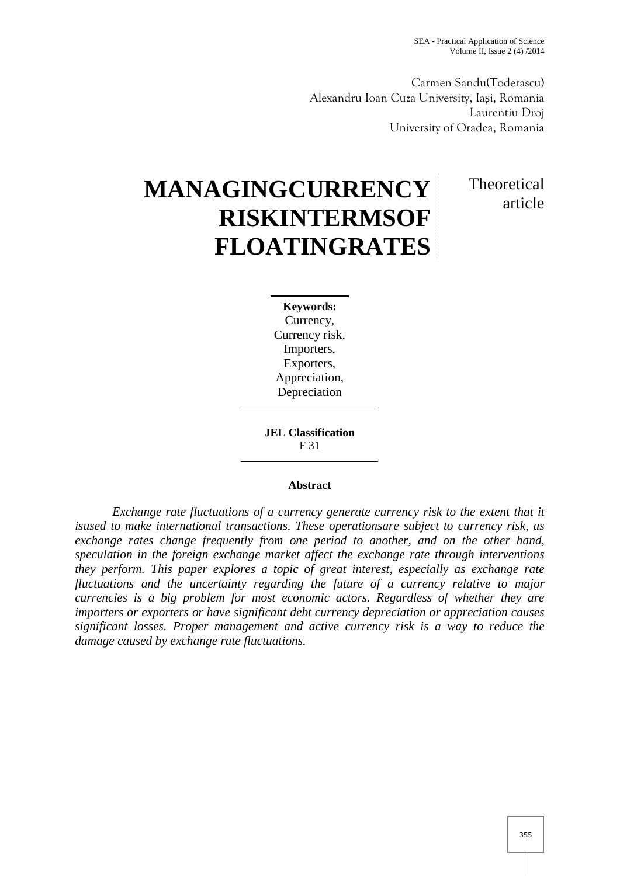Carmen Sandu(Toderascu) Alexandru Ioan Cuza University, Ia i, Romania Laurentiu Droj University of Oradea, Romania

# **MANAGINGCURRENCY RISKINTERMSOF FLOATINGRATES**

# **Theoretical** article

**Keywords:** Currency, Currency risk, Importers, Exporters, Appreciation, Depreciation

**JEL Classification** F 31

#### **Abstract**

*Exchange rate fluctuations of a currency generate currency risk to the extent that it isused to make international transactions. These operationsare subject to currency risk, as exchange rates change frequently from one period to another, and on the other hand, speculation in the foreign exchange market affect the exchange rate through interventions they perform. This paper explores a topic of great interest, especially as exchange rate fluctuations and the uncertainty regarding the future of a currency relative to major currencies is a big problem for most economic actors. Regardless of whether they are importers or exporters or have significant debt currency depreciation or appreciation causes significant losses. Proper management and active currency risk is a way to reduce the damage caused by exchange rate fluctuations.*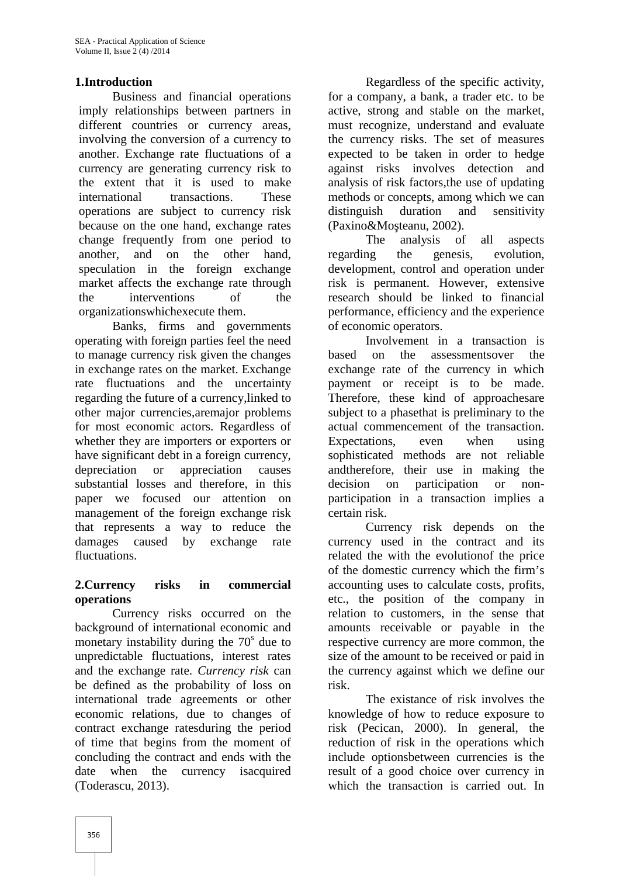### **1.Introduction**

Business and financial operations imply relationships between partners in different countries or currency areas, involving the conversion of a currency to another. Exchange rate fluctuations of a currency are generating currency risk to the extent that it is used to make international transactions. These operations are subject to currency risk because on the one hand, exchange rates change frequently from one period to another, and on the other hand, speculation in the foreign exchange market affects the exchange rate through the interventions of the organizationswhichexecute them.

Banks, firms and governments operating with foreign parties feel the need to manage currency risk given the changes in exchange rates on the market. Exchange rate fluctuations and the uncertainty regarding the future of a currency,linked to other major currencies,aremajor problems for most economic actors. Regardless of whether they are importers or exporters or have significant debt in a foreign currency, depreciation or appreciation causes substantial losses and therefore, in this paper we focused our attention on management of the foreign exchange risk that represents a way to reduce the damages caused by exchange rate fluctuations.

#### **2.Currency risks in commercial operations**

Currency risks occurred on the background of international economic and monetary instability during the  $70<sup>s</sup>$  due to unpredictable fluctuations, interest rates and the exchange rate. *Currency risk* can be defined as the probability of loss on international trade agreements or other economic relations, due to changes of contract exchange ratesduring the period of time that begins from the moment of concluding the contract and ends with the date when the currency isacquired (Toderascu, 2013).

Regardless of the specific activity, for a company, a bank, a trader etc. to be active, strong and stable on the market, must recognize, understand and evaluate the currency risks. The set of measures expected to be taken in order to hedge against risks involves detection and analysis of risk factors,the use of updating methods or concepts, among which we can distinguish duration and sensitivity  $(Paxino\&Mo$  teanu, 2002).

The analysis of all aspects regarding the genesis, evolution, development, control and operation under risk is permanent. However, extensive research should be linked to financial performance, efficiency and the experience of economic operators.

Involvement in a transaction is based on the assessmentsover the exchange rate of the currency in which payment or receipt is to be made. Therefore, these kind of approachesare subject to a phasethat is preliminary to the actual commencement of the transaction. Expectations, even when using sophisticated methods are not reliable andtherefore, their use in making the decision on participation or non participation in a transaction implies a certain risk.

Currency risk depends on the currency used in the contract and its related the with the evolutionof the price of the domestic currency which the firm's accounting uses to calculate costs, profits, etc., the position of the company in relation to customers, in the sense that amounts receivable or payable in the respective currency are more common, the size of the amount to be received or paid in the currency against which we define our risk.

The existance of risk involves the knowledge of how to reduce exposure to risk (Pecican, 2000). In general, the reduction of risk in the operations which include optionsbetween currencies is the result of a good choice over currency in which the transaction is carried out. In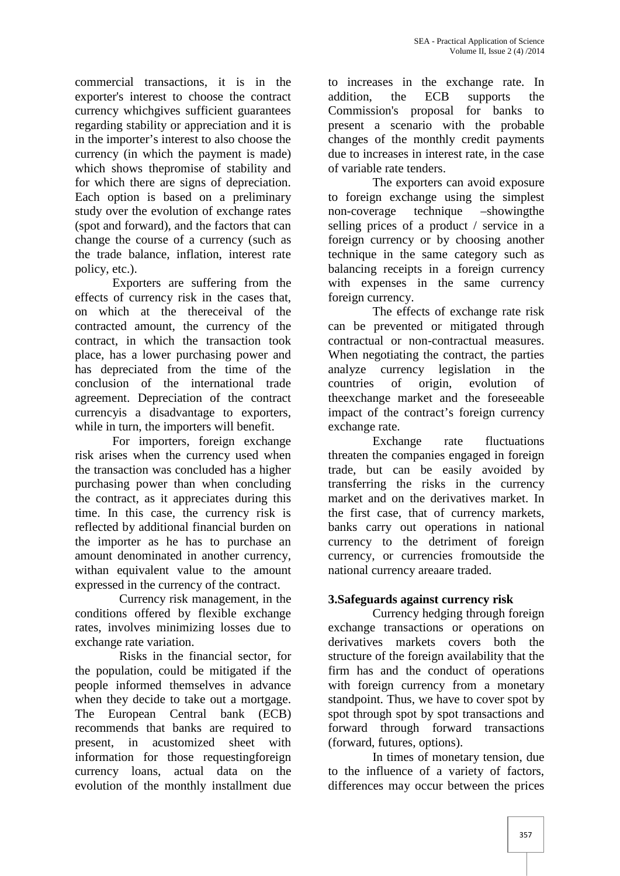commercial transactions, it is in the exporter's interest to choose the contract currency whichgives sufficient guarantees regarding stability or appreciation and it is in the importer's interest to also choose the currency (in which the payment is made) which shows thepromise of stability and for which there are signs of depreciation. Each option is based on a preliminary study over the evolution of exchange rates (spot and forward), and the factors that can change the course of a currency (such as the trade balance, inflation, interest rate policy, etc.).

Exporters are suffering from the effects of currency risk in the cases that, on which at the thereceival of the contracted amount, the currency of the contract, in which the transaction took place, has a lower purchasing power and has depreciated from the time of the analyze conclusion of the international trade agreement. Depreciation of the contract currencyis a disadvantage to exporters, while in turn, the importers will benefit.

For importers, foreign exchange risk arises when the currency used when the transaction was concluded has a higher purchasing power than when concluding the contract, as it appreciates during this time. In this case, the currency risk is reflected by additional financial burden on the importer as he has to purchase an amount denominated in another currency, withan equivalent value to the amount expressed in the currency of the contract.

Currency risk management, in the conditions offered by flexible exchange rates, involves minimizing losses due to exchange rate variation.

Risks in the financial sector, for the population, could be mitigated if the people informed themselves in advance when they decide to take out a mortgage. The European Central bank (ECB) recommends that banks are required to present, in acustomized sheet with information for those requestingforeign currency loans, actual data on the evolution of the monthly installment due

to increases in the exchange rate. In addition, the ECB supports the Commission's proposal for banks to present a scenario with the probable changes of the monthly credit payments due to increases in interest rate, in the case of variable rate tenders.

The exporters can avoid exposure to foreign exchange using the simplest non-coverage technique –showingthe selling prices of a product / service in a foreign currency or by choosing another technique in the same category such as balancing receipts in a foreign currency with expenses in the same currency foreign currency.

The effects of exchange rate risk can be prevented or mitigated through contractual or non-contractual measures. When negotiating the contract, the parties currency legislation in the of origin, evolution of theexchange market and the foreseeable impact of the contract's foreign currency exchange rate.

Exchange rate fluctuations threaten the companies engaged in foreign trade, but can be easily avoided by transferring the risks in the currency market and on the derivatives market. In the first case, that of currency markets, banks carry out operations in national currency to the detriment of foreign currency, or currencies fromoutside the national currency areaare traded.

# **3.Safeguards against currency risk**

Currency hedging through foreign exchange transactions or operations on derivatives markets covers both the structure of the foreign availability that the firm has and the conduct of operations with foreign currency from a monetary standpoint. Thus, we have to cover spot by spot through spot by spot transactions and forward through forward transactions (forward, futures, options).

In times of monetary tension, due to the influence of a variety of factors, differences may occur between the prices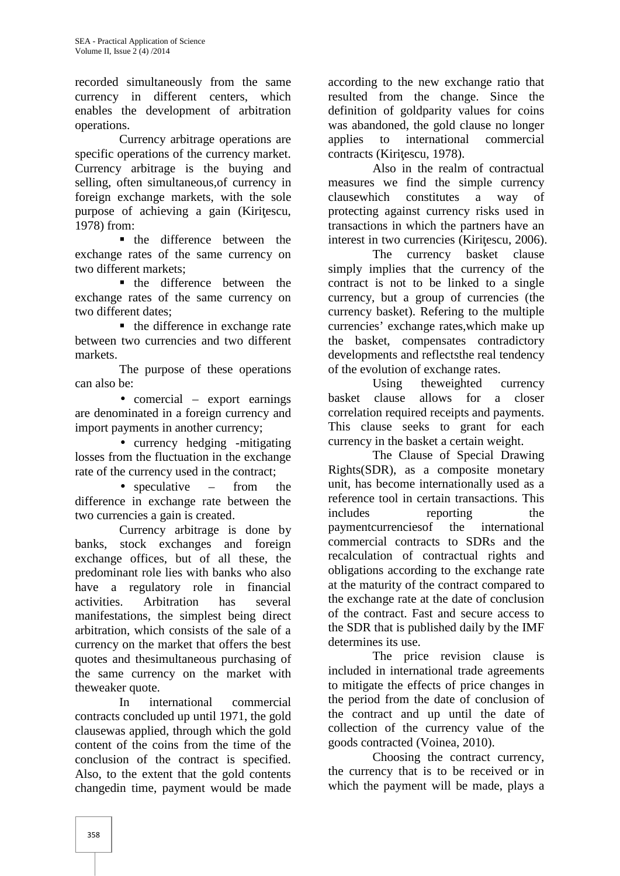recorded simultaneously from the same currency in different centers, which enables the development of arbitration operations.

Currency arbitrage operations are specific operations of the currency market. Currency arbitrage is the buying and selling, often simultaneous,of currency in foreign exchange markets, with the sole purpose of achieving a gain (Kiri escu, 1978) from:

**the difference between the** exchange rates of the same currency on two different markets;

**the difference between the** exchange rates of the same currency on two different dates;

• the difference in exchange rate between two currencies and two different

markets.<br>The purpose of these operations can also be:

• comercial – export earnings are denominated in a foreign currency and import payments in another currency;

• currency hedging -mitigating losses from the fluctuation in the exchange rate of the currency used in the contract;

• speculative – from the difference in exchange rate between the reference<br>two currencies a gain is created includes two currencies a gain is created.

Currency arbitrage is done by banks, stock exchanges and foreign exchange offices, but of all these, the predominant role lies with banks who also have a regulatory role in financial activities. Arbitration has several manifestations, the simplest being direct arbitration, which consists of the sale of a currency on the market that offers the best quotes and thesimultaneous purchasing of the same currency on the market with theweaker quote.

In international commercial contracts concluded up until 1971, the gold clausewas applied, through which the gold content of the coins from the time of the conclusion of the contract is specified. Also, to the extent that the gold contents changedin time, payment would be made

according to the new exchange ratio that resulted from the change. Since the definition of goldparity values for coins was abandoned, the gold clause no longer to international commercial contracts (Kiri escu, 1978).

Also in the realm of contractual measures we find the simple currency clausewhich constitutes a way of protecting against currency risks used in transactions in which the partners have an interest in two currencies (Kiri escu, 2006).

The currency basket clause simply implies that the currency of the contract is not to be linked to a single currency, but a group of currencies (the currency basket). Refering to the multiple currencies' exchange rates,which make up the basket, compensates contradictory developments and reflectsthe real tendency of the evolution of exchange rates.

Using theweighted currency basket clause allows for a closer correlation required receipts and payments. This clause seeks to grant for each currency in the basket a certain weight.

The Clause of Special Drawing Rights(SDR), as a composite monetary unit, has become internationally used as a reference tool in certain transactions. This reporting the paymentcurrenciesof the international commercial contracts to SDRs and the recalculation of contractual rights and obligations according to the exchange rate at the maturity of the contract compared to the exchange rate at the date of conclusion of the contract. Fast and secure access to the SDR that is published daily by the IMF determines its use.

The price revision clause is included in international trade agreements to mitigate the effects of price changes in the period from the date of conclusion of the contract and up until the date of collection of the currency value of the goods contracted (Voinea, 2010).

Choosing the contract currency, the currency that is to be received or in which the payment will be made, plays a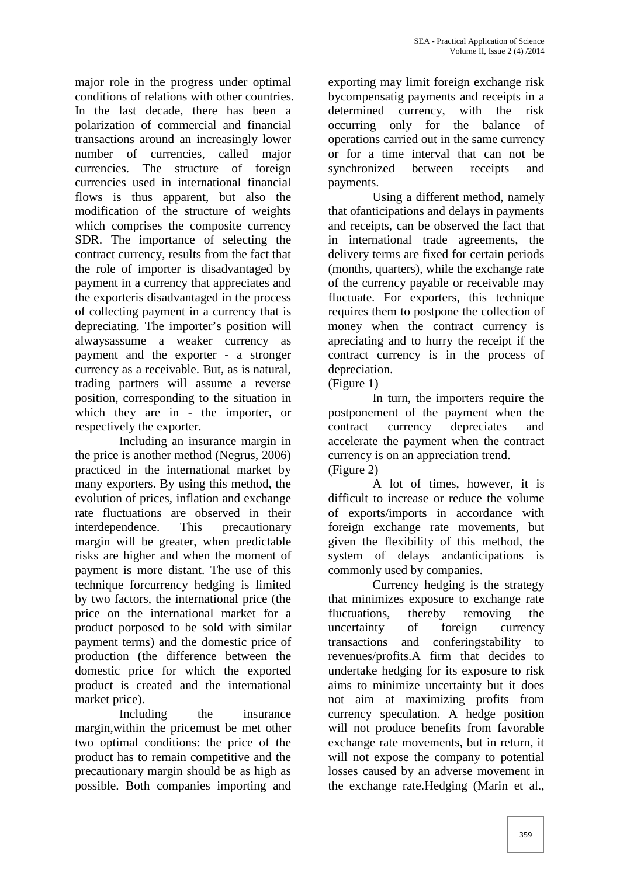major role in the progress under optimal conditions of relations with other countries. In the last decade, there has been a polarization of commercial and financial transactions around an increasingly lower number of currencies, called major currencies. The structure of foreign currencies used in international financial flows is thus apparent, but also the modification of the structure of weights which comprises the composite currency SDR. The importance of selecting the contract currency, results from the fact that the role of importer is disadvantaged by payment in a currency that appreciates and the exporteris disadvantaged in the process of collecting payment in a currency that is depreciating. The importer's position will alwaysassume a weaker currency as payment and the exporter - a stronger currency as a receivable. But, as is natural, trading partners will assume a reverse position, corresponding to the situation in which they are in - the importer, or respectively the exporter.

Including an insurance margin in the price is another method (Negrus, 2006) practiced in the international market by many exporters. By using this method, the evolution of prices, inflation and exchange rate fluctuations are observed in their interdependence. This precautionary margin will be greater, when predictable risks are higher and when the moment of payment is more distant. The use of this technique forcurrency hedging is limited by two factors, the international price (the price on the international market for a product porposed to be sold with similar payment terms) and the domestic price of production (the difference between the domestic price for which the exported product is created and the international market price).

Including the insurance margin,within the pricemust be met other two optimal conditions: the price of the product has to remain competitive and the precautionary margin should be as high as possible. Both companies importing and

exporting may limit foreign exchange risk bycompensatig payments and receipts in a determined currency, with the risk occurring only for the balance of operations carried out in the same currency or for a time interval that can not be synchronized between receipts and payments.

Using a different method, namely that ofanticipations and delays in payments and receipts, can be observed the fact that in international trade agreements, the delivery terms are fixed for certain periods (months, quarters), while the exchange rate of the currency payable or receivable may fluctuate. For exporters, this technique requires them to postpone the collection of money when the contract currency is apreciating and to hurry the receipt if the contract currency is in the process of depreciation.

(Figure 1)

In turn, the importers require the postponement of the payment when the contract currency depreciates and accelerate the payment when the contract currency is on an appreciation trend. (Figure 2)

A lot of times, however, it is difficult to increase or reduce the volume of exports/imports in accordance with foreign exchange rate movements, but given the flexibility of this method, the system of delays andanticipations is commonly used by companies.

Currency hedging is the strategy that minimizes exposure to exchange rate fluctuations, thereby removing the uncertainty of foreign currency transactions and conferingstability to revenues/profits.A firm that decides to undertake hedging for its exposure to risk aims to minimize uncertainty but it does not aim at maximizing profits from currency speculation. A hedge position will not produce benefits from favorable exchange rate movements, but in return, it will not expose the company to potential losses caused by an adverse movement in the exchange rate.Hedging (Marin et al.,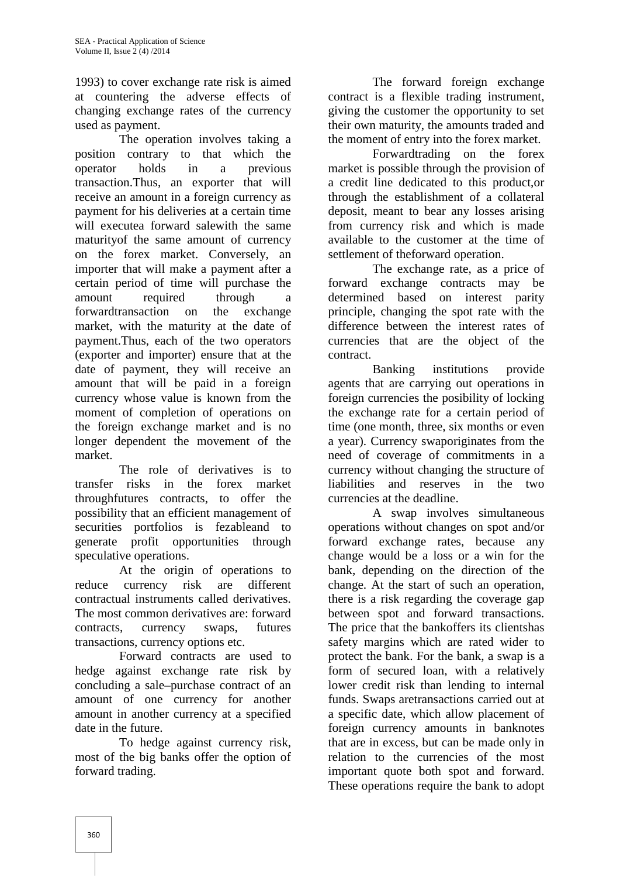1993) to cover exchange rate risk is aimed at countering the adverse effects of changing exchange rates of the currency used as payment.

The operation involves taking a position contrary to that which the operator holds in a previous transaction.Thus, an exporter that will receive an amount in a foreign currency as payment for his deliveries at a certain time will executea forward salewith the same maturityof the same amount of currency on the forex market. Conversely, an importer that will make a payment after a certain period of time will purchase the amount required through a forwardtransaction on the exchange market, with the maturity at the date of payment.Thus, each of the two operators (exporter and importer) ensure that at the date of payment, they will receive an amount that will be paid in a foreign currency whose value is known from the moment of completion of operations on the foreign exchange market and is no longer dependent the movement of the market.

The role of derivatives is to transfer risks in the forex market throughfutures contracts, to offer the possibility that an efficient management of securities portfolios is fezableand to generate profit opportunities through speculative operations.

At the origin of operations to reduce currency risk are different contractual instruments called derivatives. The most common derivatives are: forward contracts, currency swaps, futures transactions, currency options etc.

Forward contracts are used to hedge against exchange rate risk by concluding a sale–purchase contract of an amount of one currency for another amount in another currency at a specified date in the future.

To hedge against currency risk, most of the big banks offer the option of forward trading.

The forward foreign exchange contract is a flexible trading instrument, giving the customer the opportunity to set their own maturity, the amounts traded and the moment of entry into the forex market.

Forwardtrading on the forex market is possible through the provision of a credit line dedicated to this product,or through the establishment of a collateral deposit, meant to bear any losses arising from currency risk and which is made available to the customer at the time of settlement of theforward operation.

The exchange rate, as a price of forward exchange contracts may be determined based on interest parity principle, changing the spot rate with the difference between the interest rates of currencies that are the object of the contract.

Banking institutions provide agents that are carrying out operations in foreign currencies the posibility of locking the exchange rate for a certain period of time (one month, three, six months or even a year). Currency swaporiginates from the need of coverage of commitments in a currency without changing the structure of liabilities and reserves in the two currencies at the deadline.

A swap involves simultaneous operations without changes on spot and/or forward exchange rates, because any change would be a loss or a win for the bank, depending on the direction of the change. At the start of such an operation, there is a risk regarding the coverage gap between spot and forward transactions. The price that the bankoffers its clientshas safety margins which are rated wider to protect the bank. For the bank, a swap is a form of secured loan, with a relatively lower credit risk than lending to internal funds. Swaps aretransactions carried out at a specific date, which allow placement of foreign currency amounts in banknotes that are in excess, but can be made only in relation to the currencies of the most important quote both spot and forward. These operations require the bank to adopt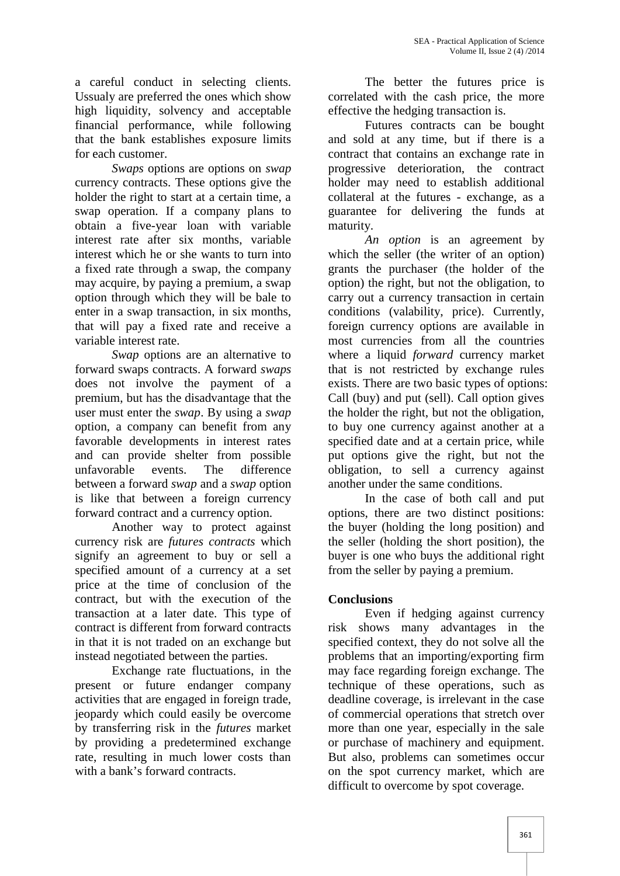a careful conduct in selecting clients. Ussualy are preferred the ones which show high liquidity, solvency and acceptable financial performance, while following that the bank establishes exposure limits for each customer.

*Swaps* options are options on *swap* currency contracts. These options give the holder the right to start at a certain time, a swap operation. If a company plans to obtain a five-year loan with variable interest rate after six months, variable interest which he or she wants to turn into a fixed rate through a swap, the company may acquire, by paying a premium, a swap option through which they will be bale to enter in a swap transaction, in six months, that will pay a fixed rate and receive a variable interest rate.

*Swap* options are an alternative to forward swaps contracts. A forward *swaps* does not involve the payment of a premium, but has the disadvantage that the user must enter the *swap*. By using a *swap* option, a company can benefit from any favorable developments in interest rates and can provide shelter from possible unfavorable events. The difference between a forward *swap* and a *swap* option is like that between a foreign currency forward contract and a currency option.

Another way to protect against currency risk are *futures contracts* which signify an agreement to buy or sell a specified amount of a currency at a set price at the time of conclusion of the contract, but with the execution of the transaction at a later date. This type of contract is different from forward contracts in that it is not traded on an exchange but instead negotiated between the parties.

Exchange rate fluctuations, in the present or future endanger company activities that are engaged in foreign trade, jeopardy which could easily be overcome by transferring risk in the *futures* market by providing a predetermined exchange rate, resulting in much lower costs than with a bank's forward contracts.

The better the futures price is correlated with the cash price, the more effective the hedging transaction is.

Futures contracts can be bought and sold at any time, but if there is a contract that contains an exchange rate in progressive deterioration, the contract holder may need to establish additional collateral at the futures - exchange, as a guarantee for delivering the funds at maturity.

*An option* is an agreement by which the seller (the writer of an option) grants the purchaser (the holder of the option) the right, but not the obligation, to carry out a currency transaction in certain conditions (valability, price). Currently, foreign currency options are available in most currencies from all the countries where a liquid *forward* currency market that is not restricted by exchange rules exists. There are two basic types of options: Call (buy) and put (sell). Call option gives the holder the right, but not the obligation, to buy one currency against another at a specified date and at a certain price, while put options give the right, but not the obligation, to sell a currency against another under the same conditions.

In the case of both call and put options, there are two distinct positions: the buyer (holding the long position) and the seller (holding the short position), the buyer is one who buys the additional right from the seller by paying a premium.

# **Conclusions**

Even if hedging against currency risk shows many advantages in the specified context, they do not solve all the problems that an importing/exporting firm may face regarding foreign exchange. The technique of these operations, such as deadline coverage, is irrelevant in the case of commercial operations that stretch over more than one year, especially in the sale or purchase of machinery and equipment. But also, problems can sometimes occur on the spot currency market, which are difficult to overcome by spot coverage.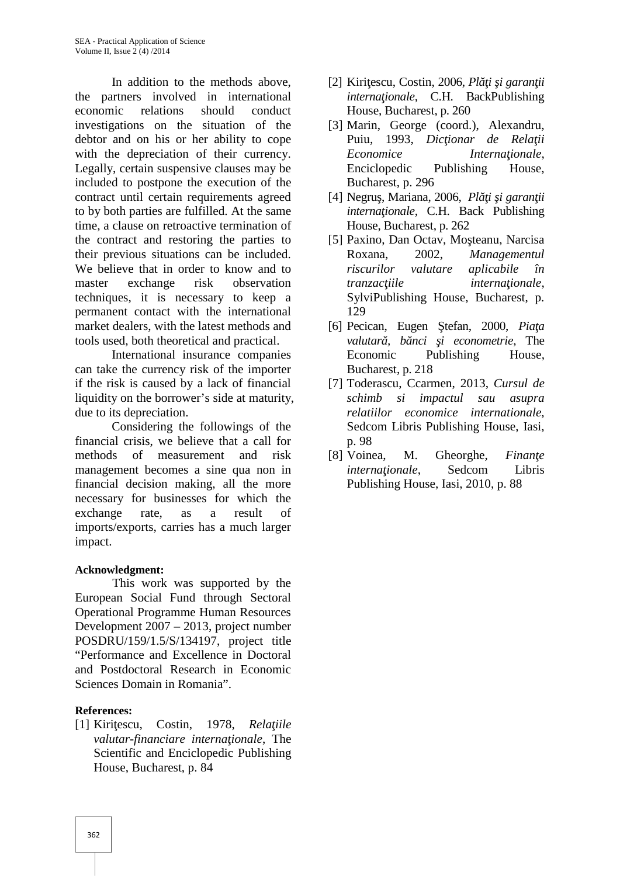In addition to the methods above, the partners involved in international economic relations should conduct investigations on the situation of the debtor and on his or her ability to cope with the depreciation of their currency. Legally, certain suspensive clauses may be included to postpone the execution of the contract until certain requirements agreed to by both parties are fulfilled. At the same time, a clause on retroactive termination of the contract and restoring the parties to their previous situations can be included. We believe that in order to know and to master exchange risk observation techniques, it is necessary to keep a permanent contact with the international market dealers, with the latest methods and [6] Pecican, Eugen tools used, both theoretical and practical.

International insurance companies can take the currency risk of the importer if the risk is caused by a lack of financial liquidity on the borrower's side at maturity, due to its depreciation.

Considering the followings of the financial crisis, we believe that a call for methods of measurement and risk management becomes a sine qua non in financial decision making, all the more necessary for businesses for which the exchange rate, as a result of imports/exports, carries has a much larger impact.

#### **Acknowledgment:**

This work was supported by the European Social Fund through Sectoral Operational Programme Human Resources Development 2007 – 2013, project number POSDRU/159/1.5/S/134197, project title "Performance and Excellence in Doctoral and Postdoctoral Research in Economic Sciences Domain in Romania".

#### **References:**

[1] Kiri escu, Costin, 1978, *Rela iile valutar-financiare interna ionale*, The Scientific and Enciclopedic Publishing House, Bucharest, p. 84

- $[2]$  Kiri escu, Costin, 2006, *Pl i i garan ii interna ionale*, C.H. BackPublishing House, Bucharest, p. 260
- [3] Marin, George (coord.), Alexandru, Puiu, 1993, *Dic ionar de Rela ii Economice Interna ionale,* Enciclopedic Publishing House, Bucharest, p. 296
- [4] Negru, Mariana, 2006, *Pl i i garan ii interna ionale*, C.H. Back Publishing House, Bucharest, p. 262
- [5] Paxino, Dan Octav, Mo teanu, Narcisa Roxana, 2002, *Managementul riscurilor valutare aplicabile în tranzac iile interna ionale*, SylviPublishing House, Bucharest, p. 129
- [6] Pecican, Eugen Ştefan, 2000, *Piaţa valutar*, *b nci i* econometrie, The Economic Publishing House, Bucharest, p. 218
- [7] Toderascu, Ccarmen, 2013, *Cursul de schimb si impactul sau asupra relatiilor economice internationale,* Sedcom Libris Publishing House, Iasi, p. 98
- [8] Voinea, M. Gheorghe, *Finan e interna ionale.* Sedcom Libris Publishing House, Iasi, 2010, p. 88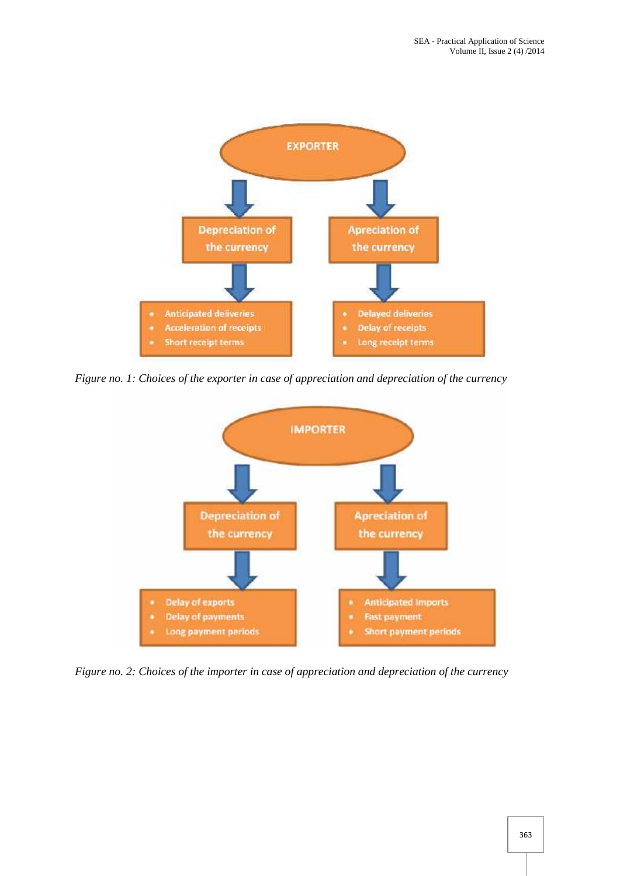

*Figure no. 1: Choices of the exporter in case of appreciation and depreciation of the currency*



*Figure no. 2: Choices of the importer in case of appreciation and depreciation of the currency*